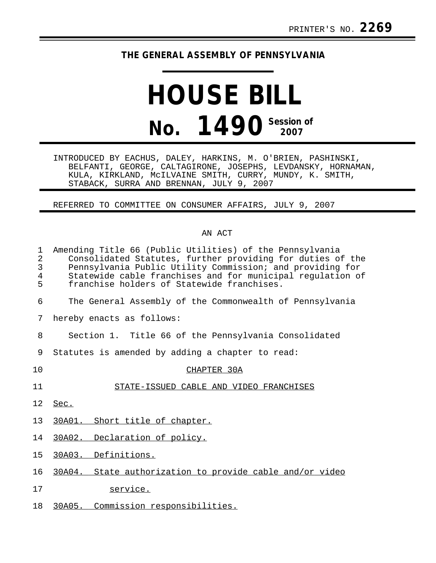## **THE GENERAL ASSEMBLY OF PENNSYLVANIA**

## **HOUSE BILL No. 1490** Session of

INTRODUCED BY EACHUS, DALEY, HARKINS, M. O'BRIEN, PASHINSKI, BELFANTI, GEORGE, CALTAGIRONE, JOSEPHS, LEVDANSKY, HORNAMAN, KULA, KIRKLAND, McILVAINE SMITH, CURRY, MUNDY, K. SMITH, STABACK, SURRA AND BRENNAN, JULY 9, 2007

REFERRED TO COMMITTEE ON CONSUMER AFFAIRS, JULY 9, 2007

## AN ACT

| $\mathbf{1}$<br>$\overline{2}$<br>3<br>$\overline{4}$<br>5 | Amending Title 66 (Public Utilities) of the Pennsylvania<br>Consolidated Statutes, further providing for duties of the<br>Pennsylvania Public Utility Commission; and providing for<br>Statewide cable franchises and for municipal regulation of<br>franchise holders of Statewide franchises. |
|------------------------------------------------------------|-------------------------------------------------------------------------------------------------------------------------------------------------------------------------------------------------------------------------------------------------------------------------------------------------|
| 6                                                          | The General Assembly of the Commonwealth of Pennsylvania                                                                                                                                                                                                                                        |
| 7                                                          | hereby enacts as follows:                                                                                                                                                                                                                                                                       |
| 8                                                          | Section 1. Title 66 of the Pennsylvania Consolidated                                                                                                                                                                                                                                            |
| 9                                                          | Statutes is amended by adding a chapter to read:                                                                                                                                                                                                                                                |
| 10                                                         | CHAPTER 30A                                                                                                                                                                                                                                                                                     |
| 11                                                         | STATE-ISSUED CABLE AND VIDEO FRANCHISES                                                                                                                                                                                                                                                         |
| 12                                                         | Sec.                                                                                                                                                                                                                                                                                            |
| 13 <sup>°</sup>                                            | 30A01. Short title of chapter.                                                                                                                                                                                                                                                                  |
| 14                                                         | 30A02. Declaration of policy.                                                                                                                                                                                                                                                                   |
| 15                                                         | 30A03. Definitions.                                                                                                                                                                                                                                                                             |
| 16                                                         | 30A04. State authorization to provide cable and/or video                                                                                                                                                                                                                                        |
| 17                                                         | service.                                                                                                                                                                                                                                                                                        |

18 30A05. Commission responsibilities.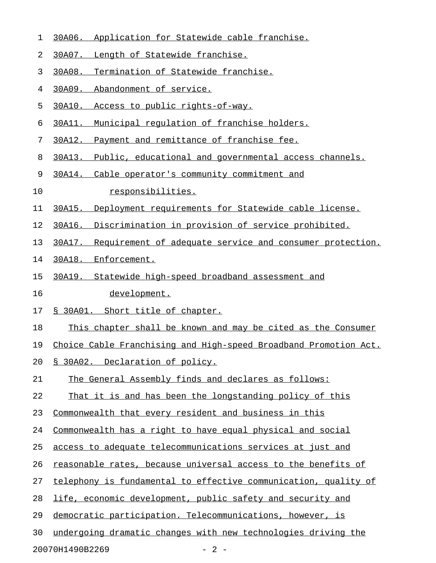- 1 30A06. Application for Statewide cable franchise.
- 2 30A07. Length of Statewide franchise.
- 3 30A08. Termination of Statewide franchise.
- 4 30A09. Abandonment of service.
- 5 30A10. Access to public rights-of-way.
- 6 30A11. Municipal regulation of franchise holders.
- 7 30A12. Payment and remittance of franchise fee.
- 8 30A13. Public, educational and governmental access channels.
- 9 30A14. Cable operator's community commitment and
- 10 responsibilities.
- 11 30A15. Deployment requirements for Statewide cable license.
- 12 30A16. Discrimination in provision of service prohibited.
- 13 30A17. Requirement of adequate service and consumer protection.
- 14 30A18. Enforcement.
- 15 30A19. Statewide high-speed broadband assessment and
- 16 development.
- 17 § 30A01. Short title of chapter.
- 18 This chapter shall be known and may be cited as the Consumer
- 19 Choice Cable Franchising and High-speed Broadband Promotion Act.
- 20 § 30A02. Declaration of policy.
- 21 The General Assembly finds and declares as follows:
- 22 That it is and has been the longstanding policy of this
- 23 Commonwealth that every resident and business in this
- 24 Commonwealth has a right to have equal physical and social
- 25 access to adequate telecommunications services at just and
- 26 reasonable rates, because universal access to the benefits of
- 27 telephony is fundamental to effective communication, quality of
- 28 life, economic development, public safety and security and
- 29 democratic participation. Telecommunications, however, is
- 30 undergoing dramatic changes with new technologies driving the

20070H1490B2269 - 2 -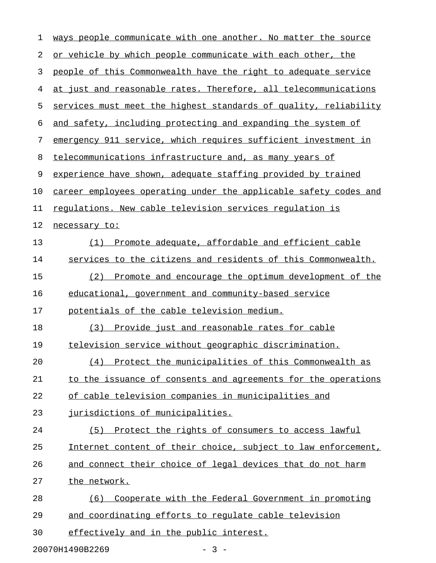| 1  | ways people communicate with one another. No matter the source   |
|----|------------------------------------------------------------------|
| 2  | or vehicle by which people communicate with each other, the      |
| 3  | people of this Commonwealth have the right to adequate service   |
| 4  | at just and reasonable rates. Therefore, all telecommunications  |
| 5  | services must meet the highest standards of quality, reliability |
| 6  | and safety, including protecting and expanding the system of     |
| 7  | emergency 911 service, which requires sufficient investment in   |
| 8  | telecommunications infrastructure and, as many years of          |
| 9  | experience have shown, adequate staffing provided by trained     |
| 10 | career employees operating under the applicable safety codes and |
| 11 | requlations. New cable television services requlation is         |
| 12 | necessary to:                                                    |
| 13 | Promote adequate, affordable and efficient cable<br>(1)          |
| 14 | services to the citizens and residents of this Commonwealth.     |
| 15 | Promote and encourage the optimum development of the<br>(2)      |
| 16 | educational, government and community-based service              |
| 17 | potentials of the cable television medium.                       |
| 18 | (3)<br>Provide just and reasonable rates for cable               |
| 19 | television service without geographic discrimination.            |
| 20 | Protect the municipalities of this Commonwealth as<br>(4)        |
| 21 | to the issuance of consents and agreements for the operations    |
| 22 | of cable television companies in municipalities and              |
| 23 | jurisdictions of municipalities.                                 |
| 24 | Protect the rights of consumers to access lawful<br>(5)          |
| 25 | Internet content of their choice, subject to law enforcement,    |
| 26 | and connect their choice of legal devices that do not harm       |
| 27 | the network.                                                     |
| 28 | Cooperate with the Federal Government in promoting<br>(6)        |
| 29 | and coordinating efforts to requlate cable television            |
| 30 | effectively and in the public interest.                          |
|    |                                                                  |

20070H1490B2269 - 3 -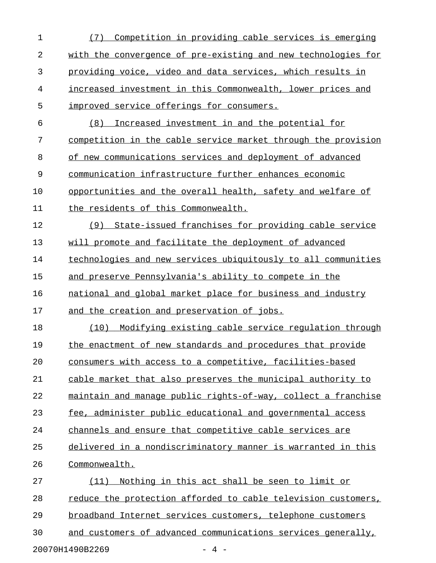| $\mathbf 1$    | (7) Competition in providing cable services is emerging       |
|----------------|---------------------------------------------------------------|
| $\overline{2}$ | with the convergence of pre-existing and new technologies for |
| 3              | providing voice, video and data services, which results in    |
| 4              | increased investment in this Commonwealth, lower prices and   |
| 5              | improved service offerings for consumers.                     |
| 6              | Increased investment in and the potential for<br>(8)          |
| 7              | competition in the cable service market through the provision |
| 8              | of new communications services and deployment of advanced     |
| 9              | communication infrastructure further enhances economic        |
| 10             | opportunities and the overall health, safety and welfare of   |
| 11             | the residents of this Commonwealth.                           |
| 12             | State-issued franchises for providing cable service<br>(9)    |
| 13             | will promote and facilitate the deployment of advanced        |
| 14             | technologies and new services ubiquitously to all communities |
| 15             | and preserve Pennsylvania's ability to compete in the         |
| 16             | national and global market place for business and industry    |
| 17             | and the creation and preservation of jobs.                    |
| 18             | Modifying existing cable service regulation through<br>(10)   |
| 19             | the enactment of new standards and procedures that provide    |
| 20             | consumers with access to a competitive, facilities-based      |
| 21             | cable market that also preserves the municipal authority to   |
| 22             | maintain and manage public rights-of-way, collect a franchise |
| 23             | fee, administer public educational and governmental access    |
| 24             | channels and ensure that competitive cable services are       |
| 25             | delivered in a nondiscriminatory manner is warranted in this  |
| 26             | Commonwealth.                                                 |
| 27             | Nothing in this act shall be seen to limit or<br>(11)         |
| 28             | reduce the protection afforded to cable television customers, |
| 29             | broadband Internet services customers, telephone customers    |
| 30             | and customers of advanced communications services generally,  |
|                | 20070H1490B2269<br>- 4 -                                      |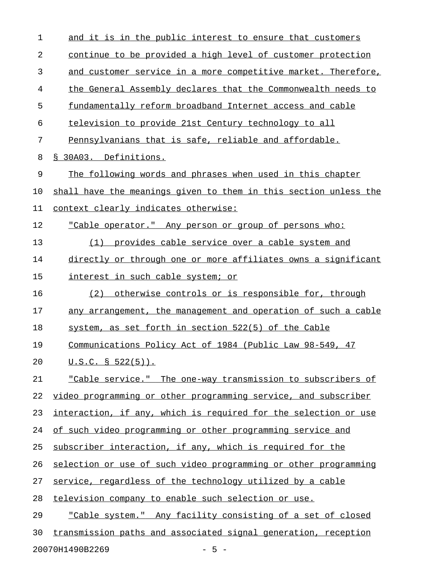| $\mathbf 1$ | and it is in the public interest to ensure that customers        |
|-------------|------------------------------------------------------------------|
| 2           | continue to be provided a high level of customer protection      |
| 3           | and customer service in a more competitive market. Therefore,    |
| 4           | the General Assembly declares that the Commonwealth needs to     |
| 5           | fundamentally reform broadband Internet access and cable         |
| 6           | television to provide 21st Century technology to all             |
| 7           | Pennsylvanians that is safe, reliable and affordable.            |
| 8           | § 30A03. Definitions.                                            |
| 9           | The following words and phrases when used in this chapter        |
| 10          | shall have the meanings given to them in this section unless the |
| 11          | context clearly indicates otherwise:                             |
| 12          | "Cable operator." Any person or group of persons who:            |
| 13          | (1) provides cable service over a cable system and               |
| 14          | directly or through one or more affiliates owns a significant    |
| 15          | interest in such cable system; or                                |
| 16          | otherwise controls or is responsible for, through<br>(2)         |
| 17          | any arrangement, the management and operation of such a cable    |
| 18          | system, as set forth in section 522(5) of the Cable              |
| 19          | <u>Communications Policy Act of 1984 (Public Law 98-549, 47</u>  |
| 20          | $U.S.C. S 522(5)$ .                                              |
| 21          | "Cable service." The one-way transmission to subscribers of      |
| 22          | video programming or other programming service, and subscriber   |
| 23          | interaction, if any, which is required for the selection or use  |
| 24          | of such video programming or other programming service and       |
| 25          | subscriber interaction, if any, which is required for the        |
| 26          | selection or use of such video programming or other programming  |
| 27          | service, regardless of the technology utilized by a cable        |
| 28          | television company to enable such selection or use.              |
| 29          | "Cable system." Any facility consisting of a set of closed       |
| 30          | transmission paths and associated signal generation, reception   |
|             | 20070H1490B2269<br>$-5 -$                                        |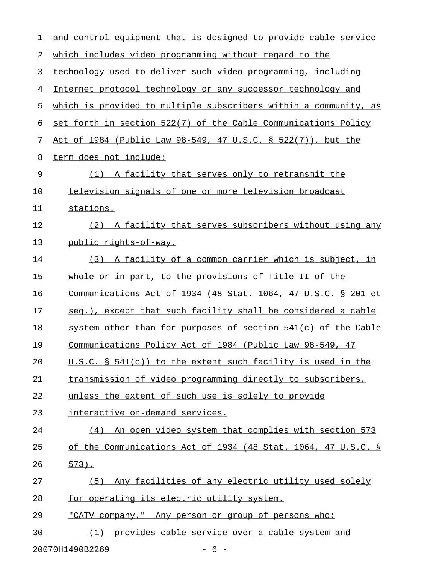| 1  | and control equipment that is designed to provide cable service  |
|----|------------------------------------------------------------------|
| 2  | which includes video programming without regard to the           |
| 3  | technology used to deliver such video programming, including     |
| 4  | Internet protocol technology or any successor technology and     |
| 5  | which is provided to multiple subscribers within a community, as |
| 6  | set forth in section 522(7) of the Cable Communications Policy   |
| 7  | Act of 1984 (Public Law 98-549, 47 U.S.C. § 522(7)), but the     |
| 8  | term does not include:                                           |
| 9  | (1) A facility that serves only to retransmit the                |
| 10 | television signals of one or more television broadcast           |
| 11 | stations.                                                        |
| 12 | (2) A facility that serves subscribers without using any         |
| 13 | public rights-of-way.                                            |
| 14 | (3) A facility of a common carrier which is subject, in          |
| 15 | whole or in part, to the provisions of Title II of the           |
| 16 | Communications Act of 1934 (48 Stat. 1064, 47 U.S.C. § 201 et    |
| 17 | seq.), except that such facility shall be considered a cable     |
| 18 | system other than for purposes of section 541(c) of the Cable    |
| 19 | Communications Policy Act of 1984 (Public Law 98-549, 47         |
| 20 | U.S.C. § 541(c)) to the extent such facility is used in the      |
| 21 | transmission of video programming directly to subscribers,       |
| 22 | unless the extent of such use is solely to provide               |
| 23 | interactive on-demand services.                                  |
| 24 | (4) An open video system that complies with section 573          |
| 25 | of the Communications Act of 1934 (48 Stat. 1064, 47 U.S.C. §    |
| 26 | $573$ ).                                                         |
| 27 | (5) Any facilities of any electric utility used solely           |
| 28 | for operating its electric utility system.                       |
| 29 | "CATV company." Any person or group of persons who:              |
| 30 | (1) provides cable service over a cable system and               |
|    | 20070H1490B2269<br>$-6-$                                         |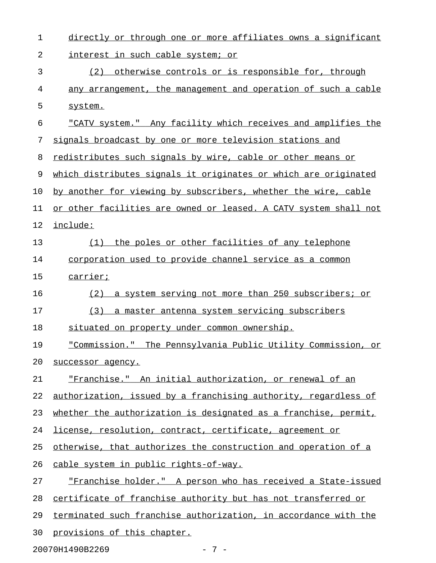| 1  | directly or through one or more affiliates owns a significant    |
|----|------------------------------------------------------------------|
| 2  | interest in such cable system; or                                |
| 3  | otherwise controls or is responsible for, through<br>(2)         |
| 4  | any arrangement, the management and operation of such a cable    |
| 5  | system.                                                          |
| 6  | "CATV system." Any facility which receives and amplifies the     |
| 7  | signals broadcast by one or more television stations and         |
| 8  | redistributes such signals by wire, cable or other means or      |
| 9  | which distributes signals it originates or which are originated  |
| 10 | by another for viewing by subscribers, whether the wire, cable   |
| 11 | or other facilities are owned or leased. A CATV system shall not |
| 12 | include:                                                         |
| 13 | the poles or other facilities of any telephone<br>(1)            |
| 14 | corporation used to provide channel service as a common          |
| 15 | carrier;                                                         |
| 16 | a system serving not more than 250 subscribers; or<br>(2)        |
| 17 | (3)<br>a master antenna system servicing subscribers             |
| 18 | situated on property under common ownership.                     |
| 19 | "Commission." The Pennsylvania Public Utility Commission, or     |
| 20 | successor agency.                                                |
| 21 | "Franchise." An initial authorization, or renewal of an          |
| 22 | authorization, issued by a franchising authority, regardless of  |
| 23 | whether the authorization is designated as a franchise, permit,  |
| 24 | license, resolution, contract, certificate, agreement or         |
| 25 | otherwise, that authorizes the construction and operation of a   |
| 26 | cable system in public rights-of-way.                            |
| 27 | "Franchise holder." A person who has received a State-issued     |
| 28 | certificate of franchise authority but has not transferred or    |
| 29 | terminated such franchise authorization, in accordance with the  |
| 30 | provisions of this chapter.                                      |

20070H1490B2269 - 7 -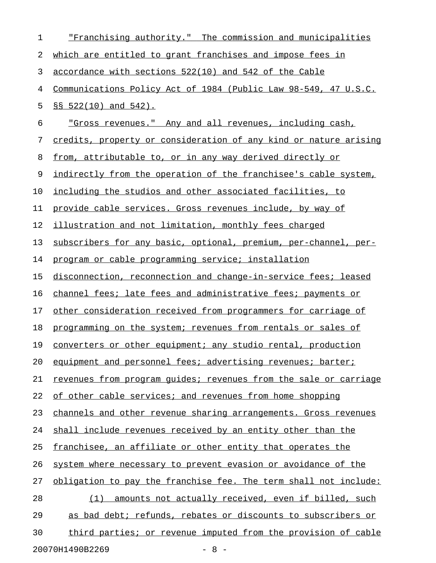| 1  | "Franchising authority." The commission and municipalities       |
|----|------------------------------------------------------------------|
| 2  | which are entitled to grant franchises and impose fees in        |
| 3  | accordance with sections 522(10) and 542 of the Cable            |
| 4  | Communications Policy Act of 1984 (Public Law 98-549, 47 U.S.C.  |
| 5  | §§ 522(10) and 542).                                             |
| 6  | "Gross revenues." Any and all revenues, including cash,          |
| 7  | credits, property or consideration of any kind or nature arising |
| 8  | from, attributable to, or in any way derived directly or         |
| 9  | indirectly from the operation of the franchisee's cable system,  |
| 10 | including the studios and other associated facilities, to        |
| 11 | provide cable services. Gross revenues include, by way of        |
| 12 | illustration and not limitation, monthly fees charged            |
| 13 | subscribers for any basic, optional, premium, per-channel, per-  |
| 14 | program or cable programming service; installation               |
| 15 | disconnection, reconnection and change-in-service fees; leased   |
| 16 | channel fees; late fees and administrative fees; payments or     |
| 17 | other consideration received from programmers for carriage of    |
| 18 | programming on the system; revenues from rentals or sales of     |
| 19 | converters or other equipment; any studio rental, production     |
| 20 | equipment and personnel fees; advertising revenues; barter;      |
| 21 | revenues from program quides; revenues from the sale or carriage |
| 22 | of other cable services; and revenues from home shopping         |
| 23 | channels and other revenue sharing arrangements. Gross revenues  |
| 24 | shall include revenues received by an entity other than the      |
| 25 | franchisee, an affiliate or other entity that operates the       |
| 26 | system where necessary to prevent evasion or avoidance of the    |
| 27 | obligation to pay the franchise fee. The term shall not include: |
| 28 | (1) amounts not actually received, even if billed, such          |
| 29 | as bad debt; refunds, rebates or discounts to subscribers or     |
| 30 | third parties; or revenue imputed from the provision of cable    |
|    | $-8 -$<br>20070H1490B2269                                        |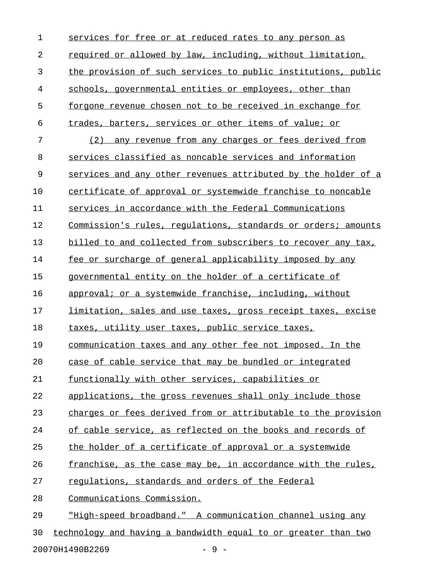| $\mathbf 1$ | services for free or at reduced rates to any person as              |
|-------------|---------------------------------------------------------------------|
| 2           | required or allowed by law, including, without limitation,          |
| 3           | the provision of such services to public institutions, public       |
| 4           | schools, governmental entities or employees, other than             |
| 5           | forgone revenue chosen not to be received in exchange for           |
| 6           | trades, barters, services or other items of value; or               |
| 7           | (2) any revenue from any charges or fees derived from               |
| 8           | services classified as noncable services and information            |
| 9           | services and any other revenues attributed by the holder of a       |
| 10          | certificate of approval or systemwide franchise to noncable         |
| 11          | services in accordance with the Federal Communications              |
| 12          | Commission's rules, regulations, standards or orders; amounts       |
| 13          | billed to and collected from subscribers to recover any tax,        |
| 14          | fee or surcharge of general applicability imposed by any            |
| 15          | governmental entity on the holder of a certificate of               |
| 16          | approval; or a systemwide franchise, including, without             |
| 17          | <u>limitation, sales and use taxes, gross receipt taxes, excise</u> |
| 18          | taxes, utility user taxes, public service taxes,                    |
| 19          | communication taxes and any other fee not imposed. In the           |
| 20          | case of cable service that may be bundled or integrated             |
| 21          | functionally with other services, capabilities or                   |
| 22          | applications, the gross revenues shall only include those           |
| 23          | charges or fees derived from or attributable to the provision       |
| 24          | of cable service, as reflected on the books and records of          |
| 25          | the holder of a certificate of approval or a systemwide             |
| 26          | franchise, as the case may be, in accordance with the rules,        |
| 27          | regulations, standards and orders of the Federal                    |
| 28          | Communications Commission.                                          |
| 29          | "High-speed broadband." A communication channel using any           |
| 30          | technology and having a bandwidth equal to or greater than two      |

20070H1490B2269 - 9 -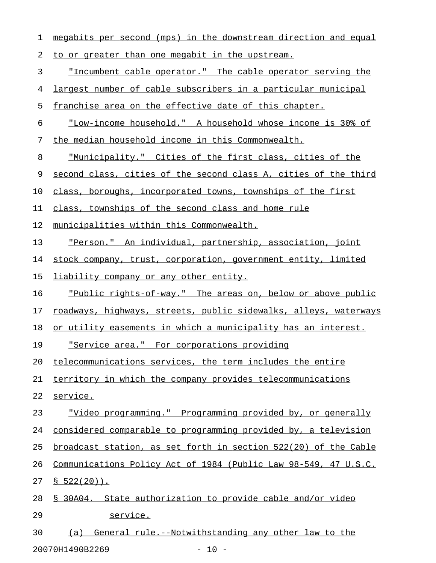| 1  | megabits per second (mps) in the downstream direction and equal  |
|----|------------------------------------------------------------------|
| 2  | to or greater than one megabit in the upstream.                  |
| 3  | "Incumbent cable operator." The cable operator serving the       |
| 4  | largest number of cable subscribers in a particular municipal    |
| 5  | franchise area on the effective date of this chapter.            |
| 6  | "Low-income household." A household whose income is 30% of       |
| 7  | the median household income in this Commonwealth.                |
| 8  | <u>"Municipality." Cities of the first class, cities of the </u> |
| 9  | second class, cities of the second class A, cities of the third  |
| 10 | class, boroughs, incorporated towns, townships of the first      |
| 11 | class, townships of the second class and home rule               |
| 12 | municipalities within this Commonwealth.                         |
| 13 | <u>"Person." An individual, partnership, association, joint</u>  |
| 14 | stock company, trust, corporation, government entity, limited    |
| 15 | <u>liability company or any other entity.</u>                    |
| 16 | "Public rights-of-way." The areas on, below or above public      |
| 17 | roadways, highways, streets, public sidewalks, alleys, waterways |
| 18 | or utility easements in which a municipality has an interest.    |
| 19 | <u> "Service area." For corporations providing</u>               |
| 20 | telecommunications services, the term includes the entire        |
| 21 | territory in which the company provides telecommunications       |
| 22 | service.                                                         |
| 23 | "Video programming." Programming provided by, or generally       |
| 24 | considered comparable to programming provided by, a television   |
| 25 | broadcast station, as set forth in section 522(20) of the Cable  |
| 26 | Communications Policy Act of 1984 (Public Law 98-549, 47 U.S.C.  |
| 27 | $$522(20)$ .                                                     |
| 28 | § 30A04. State authorization to provide cable and/or video       |
| 29 | service.                                                         |
| 30 | General rule.--Notwithstanding any other law to the<br>(a)       |

20070H1490B2269 - 10 -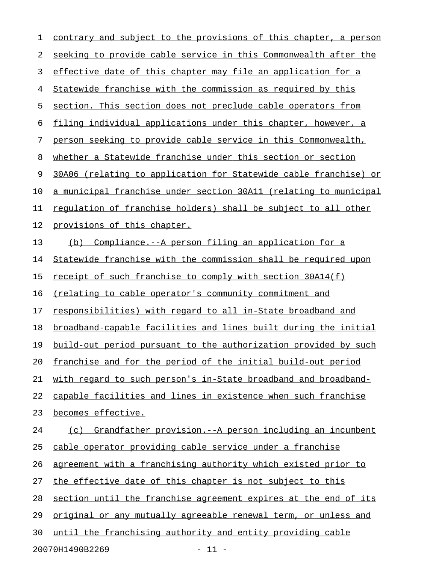1 contrary and subject to the provisions of this chapter, a person 2 seeking to provide cable service in this Commonwealth after the 3 effective date of this chapter may file an application for a 4 Statewide franchise with the commission as required by this 5 section. This section does not preclude cable operators from 6 filing individual applications under this chapter, however, a 7 person seeking to provide cable service in this Commonwealth, 8 whether a Statewide franchise under this section or section 9 30A06 (relating to application for Statewide cable franchise) or 10 a municipal franchise under section 30A11 (relating to municipal 11 regulation of franchise holders) shall be subject to all other 12 provisions of this chapter. 13 (b) Compliance.--A person filing an application for a 14 Statewide franchise with the commission shall be required upon 15 <u>receipt of such franchise to comply with section 30A14(f)</u> 16 (relating to cable operator's community commitment and 17 responsibilities) with regard to all in-State broadband and 18 broadband-capable facilities and lines built during the initial 19 build-out period pursuant to the authorization provided by such 20 franchise and for the period of the initial build-out period 21 with regard to such person's in-State broadband and broadband-22 capable facilities and lines in existence when such franchise 23 becomes effective. 24 (c) Grandfather provision.--A person including an incumbent 25 cable operator providing cable service under a franchise 26 agreement with a franchising authority which existed prior to 27 the effective date of this chapter is not subject to this 28 section until the franchise agreement expires at the end of its 29 original or any mutually agreeable renewal term, or unless and 30 until the franchising authority and entity providing cable

20070H1490B2269 - 11 -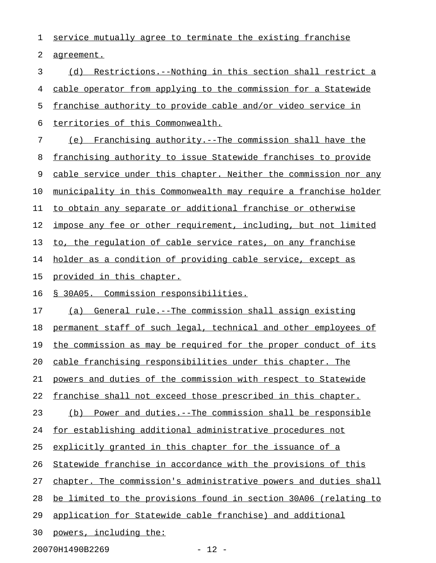1 service mutually agree to terminate the existing franchise 2 agreement. 3 (d) Restrictions.--Nothing in this section shall restrict a 4 cable operator from applying to the commission for a Statewide 5 franchise authority to provide cable and/or video service in 6 territories of this Commonwealth. 7 (e) Franchising authority.--The commission shall have the 8 franchising authority to issue Statewide franchises to provide 9 cable service under this chapter. Neither the commission nor any 10 municipality in this Commonwealth may require a franchise holder 11 to obtain any separate or additional franchise or otherwise 12 impose any fee or other requirement, including, but not limited 13 to, the requlation of cable service rates, on any franchise 14 holder as a condition of providing cable service, except as 15 provided in this chapter. 16 § 30A05. Commission responsibilities. 17 (a) General rule.--The commission shall assign existing 18 permanent staff of such legal, technical and other employees of 19 the commission as may be required for the proper conduct of its 20 cable franchising responsibilities under this chapter. The 21 powers and duties of the commission with respect to Statewide 22 franchise shall not exceed those prescribed in this chapter. 23 (b) Power and duties.--The commission shall be responsible 24 for establishing additional administrative procedures not 25 explicitly granted in this chapter for the issuance of a 26 Statewide franchise in accordance with the provisions of this 27 chapter. The commission's administrative powers and duties shall 28 be limited to the provisions found in section 30A06 (relating to 29 application for Statewide cable franchise) and additional

30 powers, including the:

20070H1490B2269 - 2007DH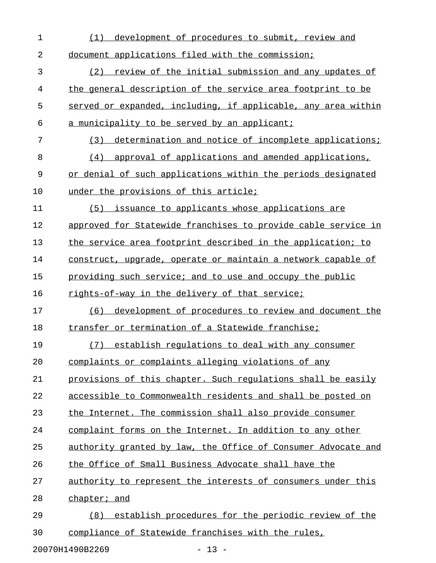| $\mathbf 1$ | development of procedures to submit, review and<br>(1)        |
|-------------|---------------------------------------------------------------|
| 2           | document applications filed with the commission;              |
| 3           | review of the initial submission and any updates of<br>(2)    |
| 4           | the general description of the service area footprint to be   |
| 5           | served or expanded, including, if applicable, any area within |
| 6           | a municipality to be served by an applicant;                  |
| 7           | determination and notice of incomplete applications;<br>(3)   |
| 8           | approval of applications and amended applications,<br>(4)     |
| 9           | or denial of such applications within the periods designated  |
| 10          | under the provisions of this article;                         |
| 11          | issuance to applicants whose applications are<br>(5)          |
| 12          | approved for Statewide franchises to provide cable service in |
| 13          | the service area footprint described in the application; to   |
| 14          | construct, upgrade, operate or maintain a network capable of  |
| 15          | providing such service; and to use and occupy the public      |
|             |                                                               |
| 16          | rights-of-way in the delivery of that service;                |
| 17          | development of procedures to review and document the<br>(6)   |
| 18          | transfer or termination of a Statewide franchise;             |
| 19          | establish regulations to deal with any consumer<br>(7)        |
| 20          | complaints or complaints alleging violations of any           |
| 21          | provisions of this chapter. Such regulations shall be easily  |
| 22          | accessible to Commonwealth residents and shall be posted on   |
| 23          | the Internet. The commission shall also provide consumer      |
| 24          | complaint forms on the Internet. In addition to any other     |
| 25          | authority granted by law, the Office of Consumer Advocate and |
| 26          | the Office of Small Business Advocate shall have the          |
| 27          | authority to represent the interests of consumers under this  |
| 28          | chapter; and                                                  |
| 29          | establish procedures for the periodic review of the<br>(8)    |

20070H1490B2269 - 13 -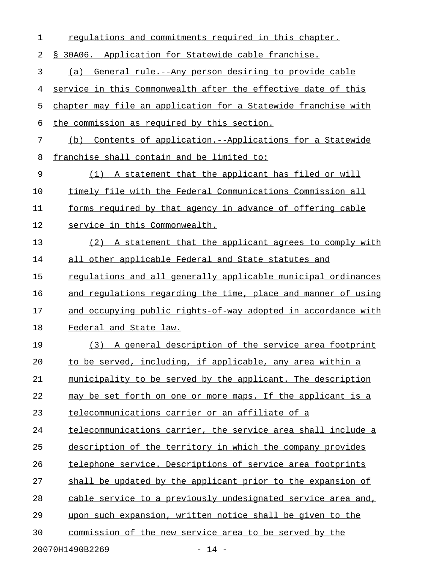| 1  | regulations and commitments required in this chapter.          |
|----|----------------------------------------------------------------|
| 2  | \$ 30A06. Application for Statewide cable franchise.           |
| 3  | (a) General rule.--Any person desiring to provide cable        |
| 4  | service in this Commonwealth after the effective date of this  |
| 5  | chapter may file an application for a Statewide franchise with |
| 6  | the commission as required by this section.                    |
| 7  | (b) Contents of application.--Applications for a Statewide     |
| 8  | franchise shall contain and be limited to:                     |
| 9  | (1) A statement that the applicant has filed or will           |
| 10 | timely file with the Federal Communications Commission all     |
| 11 | forms required by that agency in advance of offering cable     |
| 12 | service in this Commonwealth.                                  |
| 13 | (2) A statement that the applicant agrees to comply with       |
| 14 | all other applicable Federal and State statutes and            |
| 15 | requlations and all generally applicable municipal ordinances  |
| 16 | and regulations regarding the time, place and manner of using  |
| 17 | and occupying public rights-of-way adopted in accordance with  |
| 18 | Federal and State law.                                         |
| 19 | (3) A general description of the service area footprint        |
| 20 | to be served, including, if applicable, any area within a      |
| 21 | municipality to be served by the applicant. The description    |
| 22 | may be set forth on one or more maps. If the applicant is a    |
| 23 | telecommunications carrier or an affiliate of a                |
| 24 | telecommunications carrier, the service area shall include a   |
| 25 | description of the territory in which the company provides     |
| 26 | telephone service. Descriptions of service area footprints     |
| 27 | shall be updated by the applicant prior to the expansion of    |
| 28 | cable service to a previously undesignated service area and,   |
| 29 | upon such expansion, written notice shall be given to the      |
| 30 | commission of the new service area to be served by the         |
|    | 20070H1490B2269<br>$-14 -$                                     |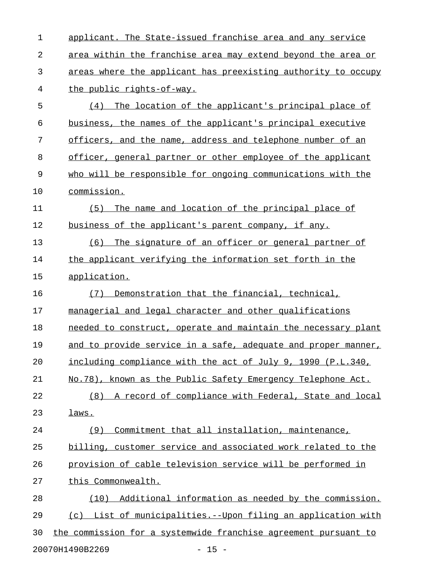1 applicant. The State-issued franchise area and any service 2 area within the franchise area may extend beyond the area or 3 areas where the applicant has preexisting authority to occupy 4 the public rights-of-way. 5 (4) The location of the applicant's principal place of 6 business, the names of the applicant's principal executive 7 officers, and the name, address and telephone number of an 8 officer, general partner or other employee of the applicant 9 who will be responsible for ongoing communications with the 10 commission. 11 (5) The name and location of the principal place of 12 business of the applicant's parent company, if any. 13 (6) The signature of an officer or general partner of 14 the applicant verifying the information set forth in the 15 application. 16 (7) Demonstration that the financial, technical, 17 managerial and legal character and other qualifications 18 needed to construct, operate and maintain the necessary plant 19 and to provide service in a safe, adequate and proper manner, 20 including compliance with the act of July 9, 1990 (P.L.340, 21 No.78), known as the Public Safety Emergency Telephone Act. 22 (8) A record of compliance with Federal, State and local 23 laws. 24 (9) Commitment that all installation, maintenance, 25 billing, customer service and associated work related to the 26 provision of cable television service will be performed in 27 this Commonwealth. 28 (10) Additional information as needed by the commission. 29 (c) List of municipalities.--Upon filing an application with 30 the commission for a systemwide franchise agreement pursuant to

20070H1490B2269 - 15 -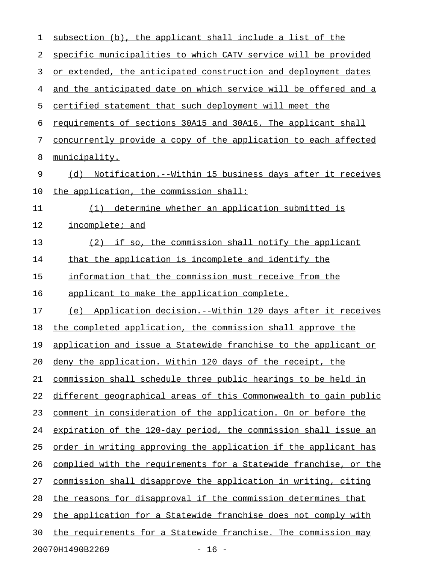| $\mathbf 1$ | subsection (b), the applicant shall include a list of the        |
|-------------|------------------------------------------------------------------|
| 2           | specific municipalities to which CATV service will be provided   |
| 3           | or extended, the anticipated construction and deployment dates   |
| 4           | and the anticipated date on which service will be offered and a  |
| 5           | certified statement that such deployment will meet the           |
| 6           | requirements of sections 30A15 and 30A16. The applicant shall    |
| 7           | concurrently provide a copy of the application to each affected  |
| 8           | municipality.                                                    |
| 9           | Notification.--Within 15 business days after it receives<br>(d)  |
| 10          | the application, the commission shall:                           |
| 11          | determine whether an application submitted is<br>(1)             |
| 12          | incomplete; and                                                  |
| 13          | (2) if so, the commission shall notify the applicant             |
| 14          | that the application is incomplete and identify the              |
| 15          | information that the commission must receive from the            |
| 16          | applicant to make the application complete.                      |
| 17          | (e) Application decision.--Within 120 days after it receives     |
| 18          | the completed application, the commission shall approve the      |
| 19          | application and issue a Statewide franchise to the applicant or  |
| 20          | deny the application. Within 120 days of the receipt, the        |
| 21          | commission shall schedule three public hearings to be held in    |
| 22          | different geographical areas of this Commonwealth to gain public |
| 23          | comment in consideration of the application. On or before the    |
| 24          | expiration of the 120-day period, the commission shall issue an  |
| 25          | order in writing approving the application if the applicant has  |
| 26          | complied with the requirements for a Statewide franchise, or the |
| 27          | commission shall disapprove the application in writing, citing   |
| 28          | the reasons for disapproval if the commission determines that    |
| 29          | the application for a Statewide franchise does not comply with   |
| 30          | the requirements for a Statewide franchise. The commission may   |
|             | 20070H1490B2269<br>$-16 -$                                       |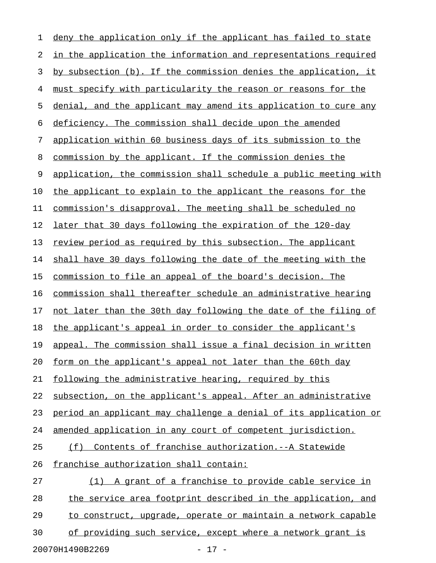| 1  | deny the application only if the applicant has failed to state         |
|----|------------------------------------------------------------------------|
| 2  | <u>in the application the information and representations required</u> |
| 3  | by subsection (b). If the commission denies the application, it        |
| 4  | must specify with particularity the reason or reasons for the          |
| 5  | denial, and the applicant may amend its application to cure any        |
| 6  | deficiency. The commission shall decide upon the amended               |
| 7  | application within 60 business days of its submission to the           |
| 8  | commission by the applicant. If the commission denies the              |
| 9  | application, the commission shall schedule a public meeting with       |
| 10 | the applicant to explain to the applicant the reasons for the          |
| 11 | commission's disapproval. The meeting shall be scheduled no            |
| 12 | later that 30 days following the expiration of the 120-day             |
| 13 | review period as required by this subsection. The applicant            |
| 14 | shall have 30 days following the date of the meeting with the          |
| 15 | commission to file an appeal of the board's decision. The              |
| 16 | commission shall thereafter schedule an administrative hearing         |
| 17 | not later than the 30th day following the date of the filing of        |
| 18 | the applicant's appeal in order to consider the applicant's            |
| 19 | appeal. The commission shall issue a final decision in written         |
| 20 | form on the applicant's appeal not later than the 60th day             |
| 21 | following the administrative hearing, required by this                 |
| 22 | subsection, on the applicant's appeal. After an administrative         |
| 23 | period an applicant may challenge a denial of its application or       |
| 24 | amended application in any court of competent jurisdiction.            |
| 25 | Contents of franchise authorization. -- A Statewide<br>(f)             |
| 26 | franchise authorization shall contain:                                 |
| 27 | A grant of a franchise to provide cable service in<br>(1)              |
| 28 | the service area footprint described in the application, and           |
| 29 | to construct, upgrade, operate or maintain a network capable           |
| 30 | of providing such service, except where a network grant is             |
|    |                                                                        |

20070H1490B2269 - 17 -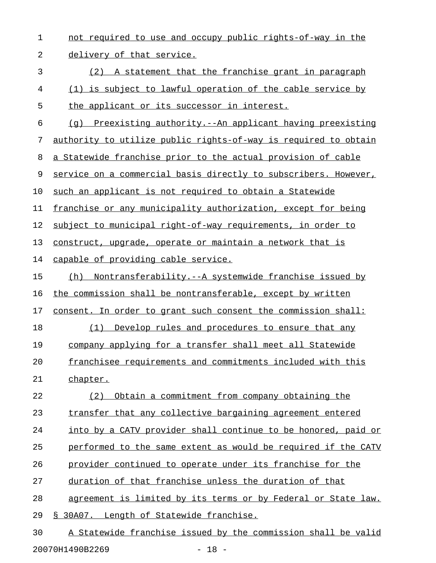1 not required to use and occupy public rights-of-way in the 2 delivery of that service. 3 (2) A statement that the franchise grant in paragraph 4 (1) is subject to lawful operation of the cable service by 5 the applicant or its successor in interest.  $6$  (q) Preexisting authority.--An applicant having preexisting 7 authority to utilize public rights-of-way is required to obtain 8 a Statewide franchise prior to the actual provision of cable 9 service on a commercial basis directly to subscribers. However, 10 such an applicant is not required to obtain a Statewide 11 franchise or any municipality authorization, except for being 12 subject to municipal right-of-way requirements, in order to 13 construct, upgrade, operate or maintain a network that is 14 capable of providing cable service. 15 (h) Nontransferability.--A systemwide franchise issued by 16 the commission shall be nontransferable, except by written 17 consent. In order to grant such consent the commission shall: 18 (1) Develop rules and procedures to ensure that any 19 company applying for a transfer shall meet all Statewide 20 franchisee requirements and commitments included with this 21 chapter. 22 (2) Obtain a commitment from company obtaining the 23 transfer that any collective bargaining agreement entered 24 into by a CATV provider shall continue to be honored, paid or 25 performed to the same extent as would be required if the CATV 26 provider continued to operate under its franchise for the 27 duration of that franchise unless the duration of that 28 agreement is limited by its terms or by Federal or State law. 29 § 30A07. Length of Statewide franchise. 30 A Statewide franchise issued by the commission shall be valid

20070H1490B2269 - 18 -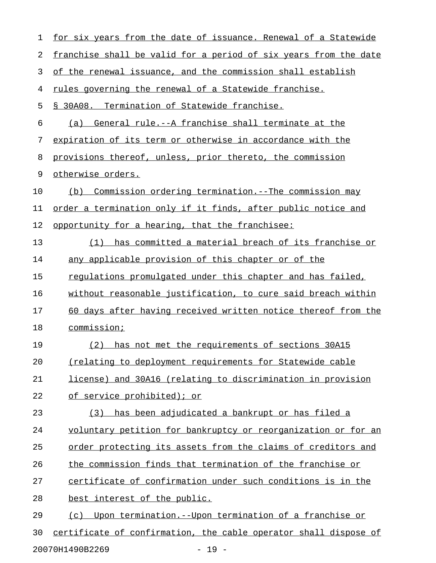| 1  | <u>for six years from the date of issuance. Renewal of a Statewide</u>  |
|----|-------------------------------------------------------------------------|
| 2  | <u>franchise shall be valid for a period of six years from the date</u> |
| 3  | of the renewal issuance, and the commission shall establish             |
| 4  | rules governing the renewal of a Statewide franchise.                   |
| 5  | § 30A08. Termination of Statewide franchise.                            |
| 6  | General rule.--A franchise shall terminate at the<br>(a)                |
| 7  | expiration of its term or otherwise in accordance with the              |
| 8  | provisions thereof, unless, prior thereto, the commission               |
| 9  | otherwise orders.                                                       |
| 10 | Commission ordering termination. -- The commission may<br>(b)           |
| 11 | order a termination only if it finds, after public notice and           |
| 12 | opportunity for a hearing, that the franchisee:                         |
| 13 | has committed a material breach of its franchise or<br>(1)              |
| 14 | any applicable provision of this chapter or of the                      |
| 15 | regulations promulgated under this chapter and has failed,              |
| 16 | without reasonable justification, to cure said breach within            |
| 17 | 60 days after having received written notice thereof from the           |
| 18 | commission;                                                             |
| 19 | has not met the requirements of sections 30A15<br>(2)                   |
| 20 | (relating to deployment requirements for Statewide cable                |
| 21 | license) and 30A16 (relating to discrimination in provision             |
| 22 | of service prohibited); or                                              |
| 23 | (3) has been adjudicated a bankrupt or has filed a                      |
| 24 | voluntary petition for bankruptcy or reorganization or for an           |
| 25 | <u>order protecting its assets from the claims of creditors and</u>     |
| 26 | the commission finds that termination of the franchise or               |
| 27 | certificate of confirmation under such conditions is in the             |
| 28 | best interest of the public.                                            |
| 29 | <u> Upon termination.--Upon termination of a franchise or</u><br>(c)    |
| 30 | certificate of confirmation, the cable operator shall dispose of        |

20070H1490B2269 - 19 -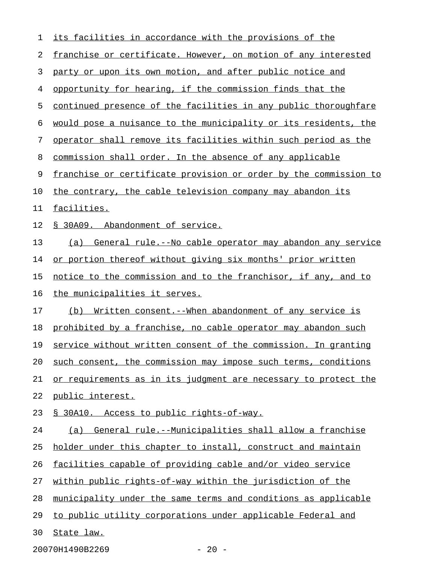| 1  | <u>its facilities in accordance with the provisions of the </u>       |
|----|-----------------------------------------------------------------------|
| 2  | franchise or certificate. However, on motion of any interested        |
| 3  | party or upon its own motion, and after public notice and             |
| 4  | opportunity for hearing, if the commission finds that the             |
| 5  | continued presence of the facilities in any public thoroughfare       |
| 6  | would pose a nuisance to the municipality or its residents, the       |
| 7  | operator shall remove its facilities within such period as the        |
| 8  | commission shall order. In the absence of any applicable              |
| 9  | franchise or certificate provision or order by the commission to      |
| 10 | the contrary, the cable television company may abandon its            |
| 11 | facilities.                                                           |
| 12 | <u>S 30A09. Abandonment of service.</u>                               |
| 13 | (a) General rule.--No cable operator may abandon any service          |
| 14 | or portion thereof without giving six months' prior written           |
| 15 | <u>notice to the commission and to the franchisor, if any, and to</u> |
| 16 | the municipalities it serves.                                         |
| 17 | (b) Written consent. -- When abandonment of any service is            |
| 18 | prohibited by a franchise, no cable operator may abandon such         |
| 19 | service without written consent of the commission. In granting        |
| 20 | such consent, the commission may impose such terms, conditions        |
| 21 | or requirements as in its judgment are necessary to protect the       |
| 22 | <u>public interest.</u>                                               |
| 23 | <u>S 30A10. Access to public rights-of-way.</u>                       |
| 24 | (a) General rule.--Municipalities shall allow a franchise             |
| 25 | holder under this chapter to install, construct and maintain          |
| 26 | facilities capable of providing cable and/or video service            |
| 27 | within public rights-of-way within the jurisdiction of the            |
| 28 | municipality under the same terms and conditions as applicable        |
| 29 | to public utility corporations under applicable Federal and           |
| 30 | State law.                                                            |
|    |                                                                       |

20070H1490B2269 - 20 -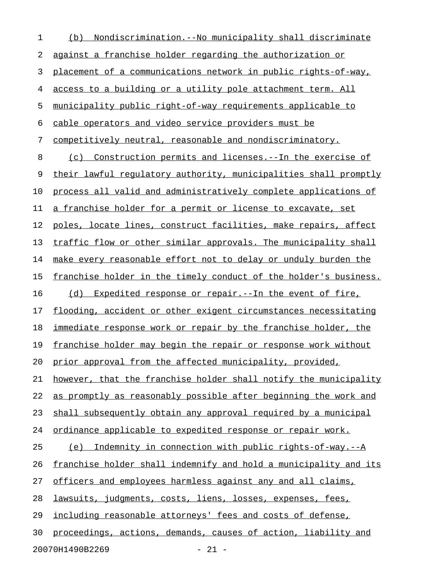| $\mathbf 1$ | <u>Nondiscrimination.--No municipality shall discriminate</u><br>(b) |
|-------------|----------------------------------------------------------------------|
| 2           | against a franchise holder regarding the authorization or            |
| 3           | placement of a communications network in public rights-of-way,       |
| 4           | access to a building or a utility pole attachment term. All          |
| 5           | municipality public right-of-way requirements applicable to          |
| 6           | cable operators and video service providers must be                  |
| 7           | competitively neutral, reasonable and nondiscriminatory.             |
| 8           | Construction permits and licenses. -- In the exercise of<br>(C)      |
| 9           | their lawful regulatory authority, municipalities shall promptly     |
| 10          | process all valid and administratively complete applications of      |
| 11          | a franchise holder for a permit or license to excavate, set          |
| 12          | poles, locate lines, construct facilities, make repairs, affect      |
| 13          | traffic flow or other similar approvals. The municipality shall      |
| 14          | make every reasonable effort not to delay or unduly burden the       |
| 15          | franchise holder in the timely conduct of the holder's business.     |
| 16          | Expedited response or repair.--In the event of fire,<br>(d)          |
| 17          | flooding, accident or other exigent circumstances necessitating      |
| 18          | immediate response work or repair by the franchise holder, the       |
| 19          | franchise holder may begin the repair or response work without       |
| 20          | prior approval from the affected municipality, provided,             |
| 21          | however, that the franchise holder shall notify the municipality     |
| 22          | as promptly as reasonably possible after beginning the work and      |
| 23          | shall subsequently obtain any approval required by a municipal       |
| 24          | ordinance applicable to expedited response or repair work.           |
| 25          | Indemnity in connection with public rights-of-way.--A<br>(e)         |
| 26          | franchise holder shall indemnify and hold a municipality and its     |
| 27          | officers and employees harmless against any and all claims,          |
| 28          | lawsuits, judgments, costs, liens, losses, expenses, fees,           |
| 29          | including reasonable attorneys' fees and costs of defense,           |
| 30          | proceedings, actions, demands, causes of action, liability and       |
|             | 20070H1490B2269<br>$-21 -$                                           |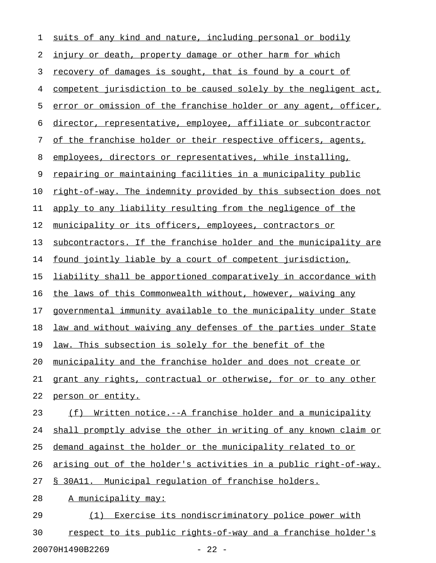| $\mathbf 1$ | suits of any kind and nature, including personal or bodily       |
|-------------|------------------------------------------------------------------|
| 2           | injury or death, property damage or other harm for which         |
| 3           | recovery of damages is sought, that is found by a court of       |
| 4           | competent jurisdiction to be caused solely by the negligent act, |
| 5           | error or omission of the franchise holder or any agent, officer, |
| 6           | director, representative, employee, affiliate or subcontractor   |
| 7           | of the franchise holder or their respective officers, agents,    |
| 8           | employees, directors or representatives, while installing,       |
| 9           | repairing or maintaining facilities in a municipality public     |
| 10          | right-of-way. The indemnity provided by this subsection does not |
| 11          | apply to any liability resulting from the negligence of the      |
| 12          | municipality or its officers, employees, contractors or          |
| 13          | subcontractors. If the franchise holder and the municipality are |
| 14          | found jointly liable by a court of competent jurisdiction,       |
| 15          | liability shall be apportioned comparatively in accordance with  |
| 16          | the laws of this Commonwealth without, however, waiving any      |
| 17          | governmental immunity available to the municipality under State  |
| 18          | law and without waiving any defenses of the parties under State  |
| 19          | law. This subsection is solely for the benefit of the            |
| 20          | municipality and the franchise holder and does not create or     |
| 21          | grant any rights, contractual or otherwise, for or to any other  |
| 22          | person or entity.                                                |
| 23          | Written notice.--A franchise holder and a municipality<br>(f)    |
| 24          | shall promptly advise the other in writing of any known claim or |
| 25          | demand against the holder or the municipality related to or      |
| 26          | arising out of the holder's activities in a public right-of-way. |
| 27          | § 30A11. Municipal regulation of franchise holders.              |
| 28          | A municipality may:                                              |
| 29          | Exercise its nondiscriminatory police power with<br>(1)          |
| 30          | respect to its public rights-of-way and a franchise holder's     |

20070H1490B2269 - 22 -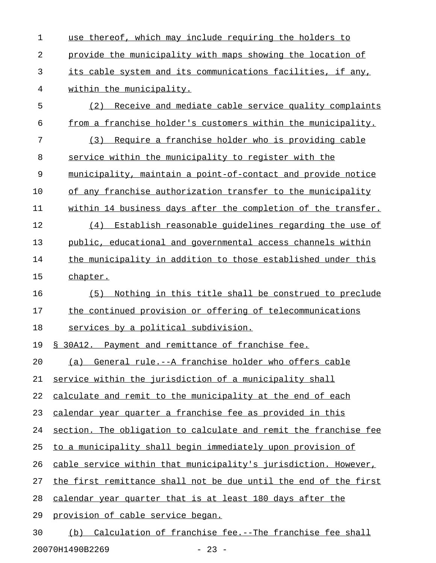| 1  | use thereof, which may include requiring the holders to          |
|----|------------------------------------------------------------------|
| 2  | provide the municipality with maps showing the location of       |
| 3  | its cable system and its communications facilities, if any,      |
| 4  | within the municipality.                                         |
| 5  | (2) Receive and mediate cable service quality complaints         |
| 6  | from a franchise holder's customers within the municipality.     |
| 7  | (3) Require a franchise holder who is providing cable            |
| 8  | service within the municipality to register with the             |
| 9  | municipality, maintain a point-of-contact and provide notice     |
| 10 | of any franchise authorization transfer to the municipality      |
| 11 | within 14 business days after the completion of the transfer.    |
| 12 | (4) Establish reasonable quidelines regarding the use of         |
| 13 | public, educational and governmental access channels within      |
| 14 | the municipality in addition to those established under this     |
| 15 | chapter.                                                         |
| 16 | Nothing in this title shall be construed to preclude<br>(5)      |
| 17 | the continued provision or offering of telecommunications        |
| 18 | services by a political subdivision.                             |
| 19 | § 30A12. Payment and remittance of franchise fee.                |
| 20 | (a) General rule.--A franchise holder who offers cable           |
| 21 | service within the jurisdiction of a municipality shall          |
| 22 | calculate and remit to the municipality at the end of each       |
| 23 | calendar year quarter a franchise fee as provided in this        |
| 24 | section. The obligation to calculate and remit the franchise fee |
| 25 | to a municipality shall begin immediately upon provision of      |
| 26 | cable service within that municipality's jurisdiction. However,  |
| 27 | the first remittance shall not be due until the end of the first |
| 28 | calendar year quarter that is at least 180 days after the        |
| 29 | <u>provision of cable service began.</u>                         |
| 30 | Calculation of franchise fee.--The franchise fee shall<br>(b)    |

20070H1490B2269 - 23 -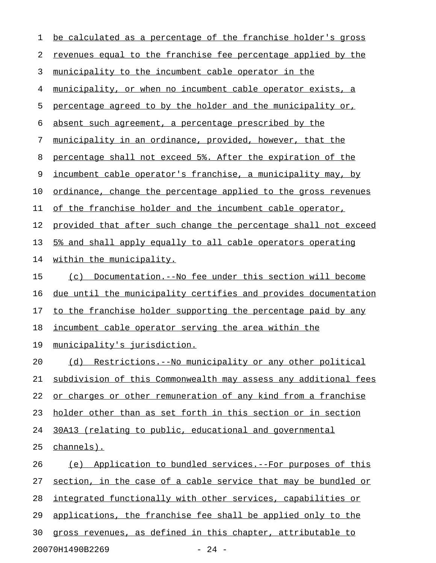| 1  | be calculated as a percentage of the franchise holder's gross   |
|----|-----------------------------------------------------------------|
| 2  | revenues equal to the franchise fee percentage applied by the   |
| 3  | municipality to the incumbent cable operator in the             |
| 4  | municipality, or when no incumbent cable operator exists, a     |
| 5  | percentage agreed to by the holder and the municipality or,     |
| 6  | absent such agreement, a percentage prescribed by the           |
| 7  | municipality in an ordinance, provided, however, that the       |
| 8  | percentage shall not exceed 5%. After the expiration of the     |
| 9  | incumbent cable operator's franchise, a municipality may, by    |
| 10 | ordinance, change the percentage applied to the gross revenues  |
| 11 | of the franchise holder and the incumbent cable operator,       |
| 12 | provided that after such change the percentage shall not exceed |
| 13 | 5% and shall apply equally to all cable operators operating     |
| 14 | within the municipality.                                        |
| 15 | (c) Documentation.--No fee under this section will become       |
| 16 | due until the municipality certifies and provides documentation |
| 17 | to the franchise holder supporting the percentage paid by any   |
| 18 | incumbent cable operator serving the area within the            |
| 19 | municipality's jurisdiction.                                    |
| 20 | (d) Restrictions.--No municipality or any other political       |
| 21 | subdivision of this Commonwealth may assess any additional fees |
| 22 | or charges or other remuneration of any kind from a franchise   |
| 23 | holder other than as set forth in this section or in section    |
| 24 | 30A13 (relating to public, educational and governmental         |
| 25 | channels).                                                      |
| 26 | (e) Application to bundled services.--For purposes of this      |
| 27 | section, in the case of a cable service that may be bundled or  |
| 28 | integrated functionally with other services, capabilities or    |
| 29 | applications, the franchise fee shall be applied only to the    |
| 30 | gross revenues, as defined in this chapter, attributable to     |
|    | 20070H1490B2269<br>$-24 -$                                      |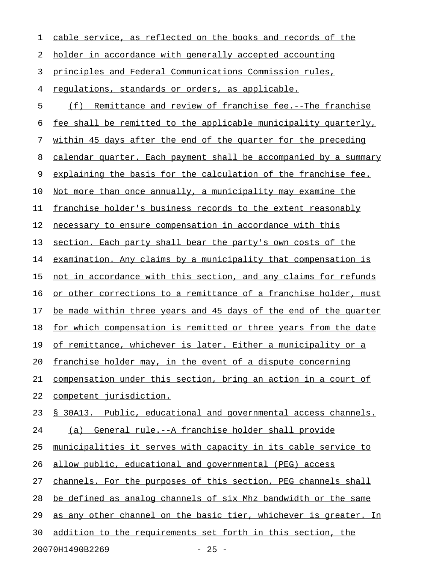| 1  | cable service, as reflected on the books and records of the      |
|----|------------------------------------------------------------------|
| 2  | holder in accordance with generally accepted accounting          |
| 3  | principles and Federal Communications Commission rules,          |
| 4  | regulations, standards or orders, as applicable.                 |
| 5  | (f) Remittance and review of franchise fee.--The franchise       |
| 6  | fee shall be remitted to the applicable municipality quarterly,  |
| 7  | within 45 days after the end of the quarter for the preceding    |
| 8  | calendar quarter. Each payment shall be accompanied by a summary |
| 9  | explaining the basis for the calculation of the franchise fee.   |
| 10 | Not more than once annually, a municipality may examine the      |
| 11 | franchise holder's business records to the extent reasonably     |
| 12 | necessary to ensure compensation in accordance with this         |
| 13 | section. Each party shall bear the party's own costs of the      |
| 14 | examination. Any claims by a municipality that compensation is   |
| 15 | not in accordance with this section, and any claims for refunds  |
| 16 | or other corrections to a remittance of a franchise holder, must |
| 17 | be made within three years and 45 days of the end of the quarter |
| 18 | for which compensation is remitted or three years from the date  |
| 19 | of remittance, whichever is later. Either a municipality or a    |
| 20 | franchise holder may, in the event of a dispute concerning       |
| 21 | compensation under this section, bring an action in a court of   |
| 22 | competent jurisdiction.                                          |
| 23 | § 30A13. Public, educational and governmental access channels.   |
| 24 | (a) General rule.--A franchise holder shall provide              |
| 25 | municipalities it serves with capacity in its cable service to   |
| 26 | allow public, educational and governmental (PEG) access          |
| 27 | channels. For the purposes of this section, PEG channels shall   |
| 28 | be defined as analog channels of six Mhz bandwidth or the same   |
| 29 | as any other channel on the basic tier, whichever is greater. In |
| 30 | addition to the requirements set forth in this section, the      |
|    | 20070H1490B2269<br>$-25 -$                                       |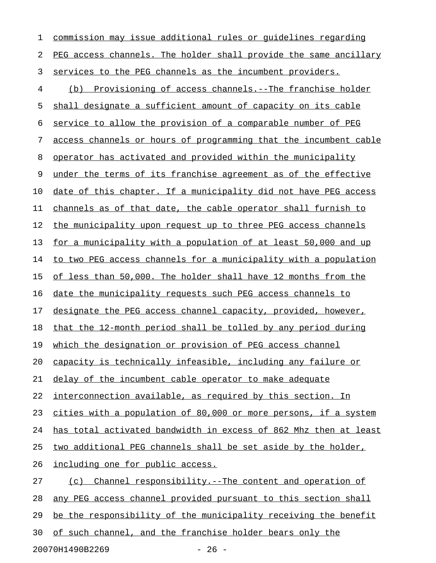1 commission may issue additional rules or quidelines regarding 2 PEG access channels. The holder shall provide the same ancillary 3 services to the PEG channels as the incumbent providers. 4 (b) Provisioning of access channels.--The franchise holder 5 shall designate a sufficient amount of capacity on its cable 6 service to allow the provision of a comparable number of PEG 7 access channels or hours of programming that the incumbent cable 8 operator has activated and provided within the municipality 9 under the terms of its franchise agreement as of the effective 10 date of this chapter. If a municipality did not have PEG access 11 channels as of that date, the cable operator shall furnish to 12 the municipality upon request up to three PEG access channels 13 for a municipality with a population of at least 50,000 and up 14 to two PEG access channels for a municipality with a population 15 of less than 50,000. The holder shall have 12 months from the 16 date the municipality requests such PEG access channels to 17 designate the PEG access channel capacity, provided, however, 18 that the 12-month period shall be tolled by any period during 19 which the designation or provision of PEG access channel 20 capacity is technically infeasible, including any failure or 21 delay of the incumbent cable operator to make adequate 22 interconnection available, as required by this section. In 23 cities with a population of 80,000 or more persons, if a system 24 has total activated bandwidth in excess of 862 Mhz then at least 25 two additional PEG channels shall be set aside by the holder, 26 including one for public access. 27 (c) Channel responsibility.--The content and operation of 28 any PEG access channel provided pursuant to this section shall 29 be the responsibility of the municipality receiving the benefit 30 of such channel, and the franchise holder bears only the

20070H1490B2269 - 26 -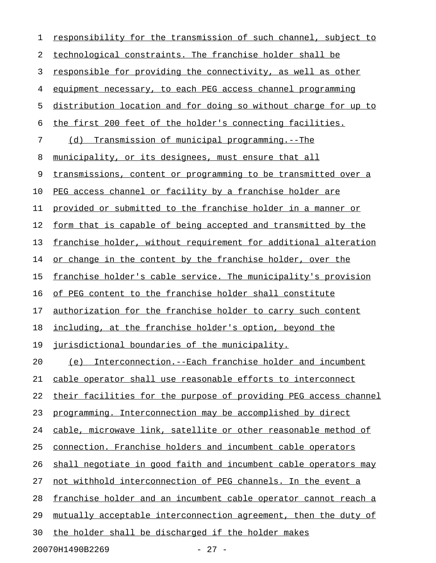| 1  | responsibility for the transmission of such channel, subject to  |
|----|------------------------------------------------------------------|
| 2  | technological constraints. The franchise holder shall be         |
| 3  | responsible for providing the connectivity, as well as other     |
| 4  | equipment necessary, to each PEG access channel programming      |
| 5  | distribution location and for doing so without charge for up to  |
| 6  | the first 200 feet of the holder's connecting facilities.        |
| 7  | (d) Transmission of municipal programming.--The                  |
| 8  | municipality, or its designees, must ensure that all             |
| 9  | transmissions, content or programming to be transmitted over a   |
| 10 | PEG access channel or facility by a franchise holder are         |
| 11 | provided or submitted to the franchise holder in a manner or     |
| 12 | form that is capable of being accepted and transmitted by the    |
| 13 | franchise holder, without requirement for additional alteration  |
| 14 | or change in the content by the franchise holder, over the       |
| 15 | franchise holder's cable service. The municipality's provision   |
| 16 | of PEG content to the franchise holder shall constitute          |
| 17 | authorization for the franchise holder to carry such content     |
| 18 | including, at the franchise holder's option, beyond the          |
| 19 | jurisdictional boundaries of the municipality.                   |
| 20 | (e) Interconnection.--Each franchise holder and incumbent        |
| 21 | cable operator shall use reasonable efforts to interconnect      |
| 22 | their facilities for the purpose of providing PEG access channel |
| 23 | programming. Interconnection may be accomplished by direct       |
| 24 | cable, microwave link, satellite or other reasonable method of   |
| 25 | connection. Franchise holders and incumbent cable operators      |
| 26 | shall negotiate in good faith and incumbent cable operators may  |
| 27 | not withhold interconnection of PEG channels. In the event a     |
| 28 | franchise holder and an incumbent cable operator cannot reach a  |
| 29 | mutually acceptable interconnection agreement, then the duty of  |
| 30 | the holder shall be discharged if the holder makes               |
|    |                                                                  |

20070H1490B2269 - 27 -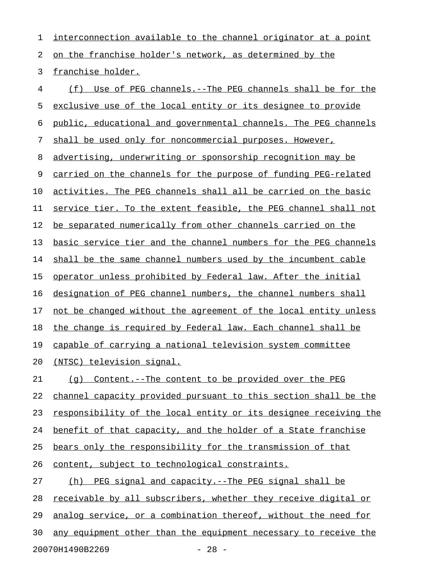1 interconnection available to the channel originator at a point 2 on the franchise holder's network, as determined by the 3 franchise holder. 4 (f) Use of PEG channels.--The PEG channels shall be for the 5 exclusive use of the local entity or its designee to provide 6 public, educational and governmental channels. The PEG channels 7 shall be used only for noncommercial purposes. However, 8 advertising, underwriting or sponsorship recognition may be 9 carried on the channels for the purpose of funding PEG-related 10 activities. The PEG channels shall all be carried on the basic 11 service tier. To the extent feasible, the PEG channel shall not 12 be separated numerically from other channels carried on the 13 basic service tier and the channel numbers for the PEG channels 14 shall be the same channel numbers used by the incumbent cable 15 <u>operator unless prohibited by Federal law. After the initial</u> 16 designation of PEG channel numbers, the channel numbers shall 17 not be changed without the agreement of the local entity unless 18 the change is required by Federal law. Each channel shall be 19 capable of carrying a national television system committee 20 (NTSC) television signal. 21 (g) Content.--The content to be provided over the PEG 22 channel capacity provided pursuant to this section shall be the 23 responsibility of the local entity or its designee receiving the 24 benefit of that capacity, and the holder of a State franchise 25 bears only the responsibility for the transmission of that 26 content, subject to technological constraints. 27 (h) PEG signal and capacity.--The PEG signal shall be 28 receivable by all subscribers, whether they receive digital or 29 analog service, or a combination thereof, without the need for 30 any equipment other than the equipment necessary to receive the

20070H1490B2269 - 28 -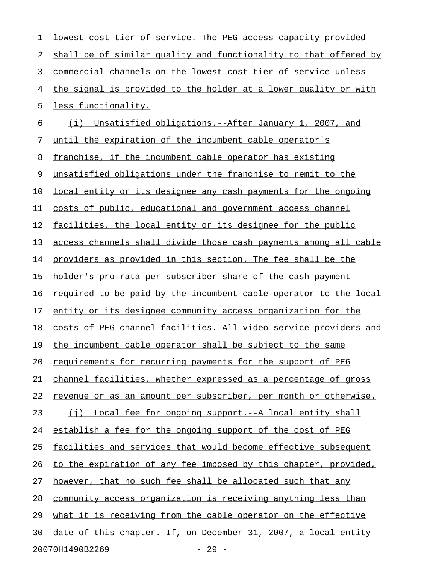| 1  | lowest cost tier of service. The PEG access capacity provided    |
|----|------------------------------------------------------------------|
| 2  | shall be of similar quality and functionality to that offered by |
| 3  | commercial channels on the lowest cost tier of service unless    |
| 4  | the signal is provided to the holder at a lower quality or with  |
| 5  | less functionality.                                              |
| 6  | Unsatisfied obligations.--After January 1, 2007, and<br>(i)      |
| 7  | until the expiration of the incumbent cable operator's           |
| 8  | franchise, if the incumbent cable operator has existing          |
| 9  | unsatisfied obligations under the franchise to remit to the      |
| 10 | local entity or its designee any cash payments for the ongoing   |
| 11 | costs of public, educational and government access channel       |
| 12 | facilities, the local entity or its designee for the public      |
| 13 | access channels shall divide those cash payments among all cable |
| 14 | providers as provided in this section. The fee shall be the      |
| 15 | holder's pro rata per-subscriber share of the cash payment       |
| 16 | required to be paid by the incumbent cable operator to the local |
| 17 | entity or its designee community access organization for the     |
| 18 | costs of PEG channel facilities. All video service providers and |
| 19 | the incumbent cable operator shall be subject to the same        |
| 20 | requirements for recurring payments for the support of PEG       |
| 21 | channel facilities, whether expressed as a percentage of gross   |
| 22 | revenue or as an amount per subscriber, per month or otherwise.  |
| 23 | (j) Local fee for ongoing support.--A local entity shall         |
| 24 | establish a fee for the ongoing support of the cost of PEG       |
| 25 | facilities and services that would become effective subsequent   |
| 26 | to the expiration of any fee imposed by this chapter, provided,  |
| 27 | however, that no such fee shall be allocated such that any       |
| 28 | community access organization is receiving anything less than    |
| 29 | what it is receiving from the cable operator on the effective    |
| 30 | date of this chapter. If, on December 31, 2007, a local entity   |
|    | 20070H1490B2269<br>$-29 -$                                       |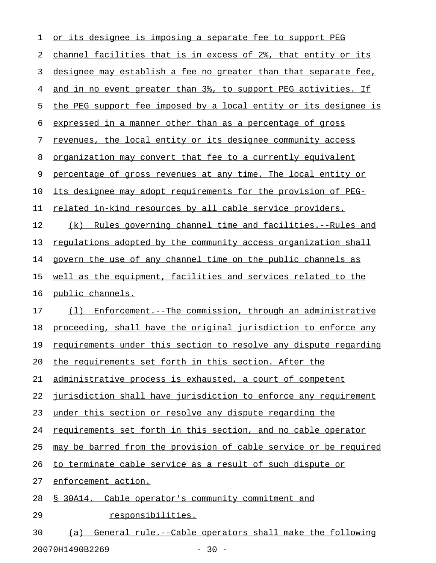| 1  | or its designee is imposing a separate fee to support PEG            |
|----|----------------------------------------------------------------------|
| 2  | channel facilities that is in excess of 2%, that entity or its       |
| 3  | designee may establish a fee no greater than that separate fee,      |
| 4  | and in no event greater than 3%, to support PEG activities. If       |
| 5  | the PEG support fee imposed by a local entity or its designee is     |
| 6  | expressed in a manner other than as a percentage of gross            |
| 7  | revenues, the local entity or its designee community access          |
| 8  | <u>organization may convert that fee to a currently equivalent</u>   |
| 9  | percentage of gross revenues at any time. The local entity or        |
| 10 | <u>its designee may adopt requirements for the provision of PEG-</u> |
| 11 | related in-kind resources by all cable service providers.            |
| 12 | (k) Rules governing channel time and facilities.--Rules and          |
| 13 | requlations adopted by the community access organization shall       |
| 14 | govern the use of any channel time on the public channels as         |
| 15 | well as the equipment, facilities and services related to the        |
| 16 | public channels.                                                     |
| 17 | (1) Enforcement.--The commission, through an administrative          |
| 18 | proceeding, shall have the original jurisdiction to enforce any      |
| 19 | requirements under this section to resolve any dispute regarding     |
| 20 | the requirements set forth in this section. After the                |
| 21 | administrative process is exhausted, a court of competent            |
| 22 | jurisdiction shall have jurisdiction to enforce any requirement      |
| 23 | under this section or resolve any dispute regarding the              |
| 24 | requirements set forth in this section, and no cable operator        |
| 25 | may be barred from the provision of cable service or be required     |
| 26 | to terminate cable service as a result of such dispute or            |
| 27 | enforcement action.                                                  |
| 28 | § 30A14. Cable operator's community commitment and                   |
| 29 | responsibilities.                                                    |
| 30 | General rule.--Cable operators shall make the following<br>(a)       |

20070H1490B2269 - 30 -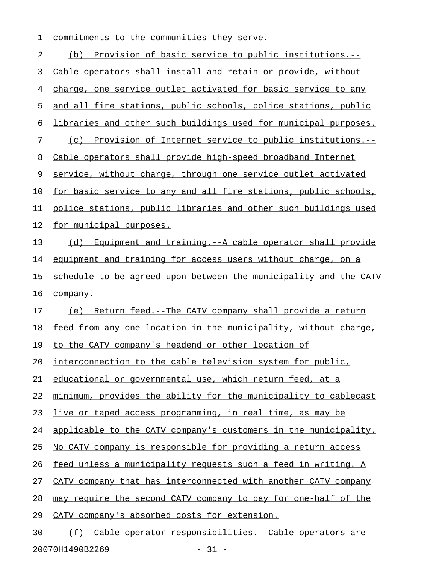1 commitments to the communities they serve.

2 (b) Provision of basic service to public institutions.--3 Cable operators shall install and retain or provide, without 4 charge, one service outlet activated for basic service to any 5 and all fire stations, public schools, police stations, public 6 libraries and other such buildings used for municipal purposes. 7 (c) Provision of Internet service to public institutions.--8 Cable operators shall provide high-speed broadband Internet 9 service, without charge, through one service outlet activated 10 for basic service to any and all fire stations, public schools, 11 police stations, public libraries and other such buildings used 12 for municipal purposes. 13 (d) Equipment and training.--A cable operator shall provide 14 equipment and training for access users without charge, on a 15 schedule to be agreed upon between the municipality and the CATV 16 company. 17 (e) Return feed.--The CATV company shall provide a return 18 feed from any one location in the municipality, without charge, 19 to the CATV company's headend or other location of 20 interconnection to the cable television system for public, 21 educational or governmental use, which return feed, at a 22 minimum, provides the ability for the municipality to cablecast 23 live or taped access programming, in real time, as may be 24 applicable to the CATV company's customers in the municipality. 25 No CATV company is responsible for providing a return access 26 feed unless a municipality requests such a feed in writing. A 27 CATV company that has interconnected with another CATV company 28 may require the second CATV company to pay for one-half of the 29 CATV company's absorbed costs for extension. 30 (f) Cable operator responsibilities.--Cable operators are

20070H1490B2269 - 31 -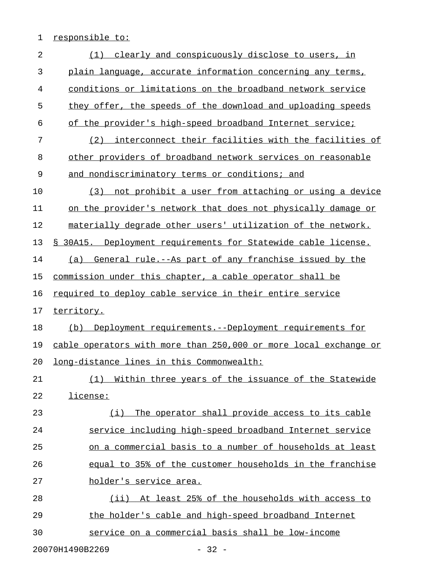## 1 responsible to:

| 2  | clearly and conspicuously disclose to users, in<br>(1)            |
|----|-------------------------------------------------------------------|
| 3  | plain language, accurate information concerning any terms,        |
| 4  | conditions or limitations on the broadband network service        |
| 5  | they offer, the speeds of the download and uploading speeds       |
| 6  | of the provider's high-speed broadband Internet service;          |
| 7  | interconnect their facilities with the facilities of<br>(2)       |
| 8  | other providers of broadband network services on reasonable       |
| 9  | and nondiscriminatory terms or conditions; and                    |
| 10 | not prohibit a user from attaching or using a device<br>(3)       |
| 11 | on the provider's network that does not physically damage or      |
| 12 | materially degrade other users' utilization of the network.       |
| 13 | § 30A15. Deployment requirements for Statewide cable license.     |
| 14 | General rule.--As part of any franchise issued by the<br>(a)      |
| 15 | commission under this chapter, a cable operator shall be          |
| 16 | required to deploy cable service in their entire service          |
| 17 | territory.                                                        |
| 18 | Deployment requirements.--Deployment requirements for<br>(b)      |
| 19 | cable operators with more than 250,000 or more local exchange or  |
| 20 | long-distance lines in this Commonwealth:                         |
| 21 | <u>Within three years of the issuance of the Statewide</u><br>(1) |
| 22 | license:                                                          |
| 23 | (i) The operator shall provide access to its cable                |
| 24 | service including high-speed broadband Internet service           |
| 25 | on a commercial basis to a number of households at least          |
| 26 | equal to 35% of the customer households in the franchise          |
| 27 | holder's service area.                                            |
| 28 | (ii) At least 25% of the households with access to                |
| 29 | the holder's cable and high-speed broadband Internet              |
| 30 | service on a commercial basis shall be low-income                 |
|    |                                                                   |

20070H1490B2269 - 32 -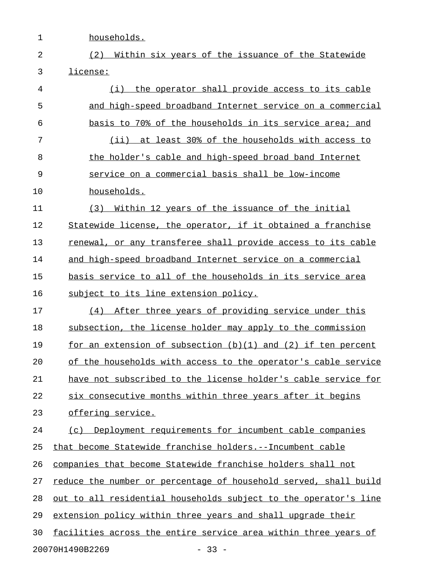1 households.

2 (2) Within six years of the issuance of the Statewide 3 license: \_\_\_\_\_\_\_\_

4 (i) the operator shall provide access to its cable 5 and high-speed broadband Internet service on a commercial 6 basis to 70% of the households in its service area; and 7 (ii) at least 30% of the households with access to 8 the holder's cable and high-speed broad band Internet 9 service on a commercial basis shall be low-income 10 households. 11 (3) Within 12 years of the issuance of the initial 12 Statewide license, the operator, if it obtained a franchise 13 renewal, or any transferee shall provide access to its cable 14 and high-speed broadband Internet service on a commercial 15 basis service to all of the households in its service area 16 subject to its line extension policy. 17 (4) After three years of providing service under this 18 subsection, the license holder may apply to the commission 19 for an extension of subsection  $(b)(1)$  and  $(2)$  if ten percent 20 of the households with access to the operator's cable service 21 have not subscribed to the license holder's cable service for 22 six consecutive months within three years after it begins 23 offering service. 24 (c) Deployment requirements for incumbent cable companies 25 that become Statewide franchise holders.--Incumbent cable 26 companies that become Statewide franchise holders shall not 27 reduce the number or percentage of household served, shall build 28 out to all residential households subject to the operator's line 29 extension policy within three years and shall upgrade their 30 facilities across the entire service area within three years of 20070H1490B2269 - 33 -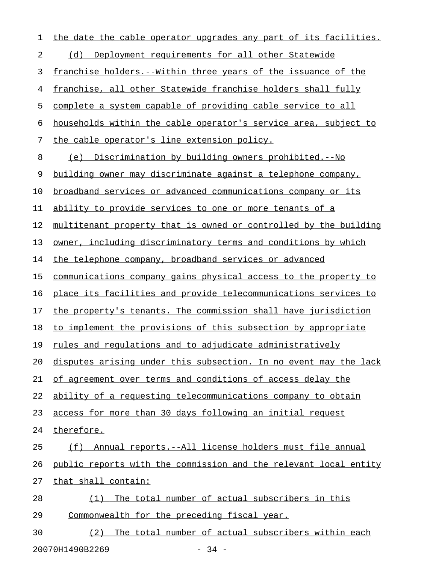1 the date the cable operator upgrades any part of its facilities. 2 (d) Deployment requirements for all other Statewide 3 franchise holders.--Within three years of the issuance of the 4 franchise, all other Statewide franchise holders shall fully 5 complete a system capable of providing cable service to all 6 households within the cable operator's service area, subject to 7 the cable operator's line extension policy. 8 (e) Discrimination by building owners prohibited.--No 9 building owner may discriminate against a telephone company, 10 broadband services or advanced communications company or its 11 ability to provide services to one or more tenants of a 12 multitenant property that is owned or controlled by the building 13 owner, including discriminatory terms and conditions by which 14 the telephone company, broadband services or advanced 15 communications company gains physical access to the property to 16 place its facilities and provide telecommunications services to 17 the property's tenants. The commission shall have jurisdiction 18 to implement the provisions of this subsection by appropriate 19 rules and regulations and to adjudicate administratively 20 disputes arising under this subsection. In no event may the lack 21 of agreement over terms and conditions of access delay the 22 ability of a requesting telecommunications company to obtain 23 access for more than 30 days following an initial request 24 therefore. 25 (f) Annual reports.--All license holders must file annual 26 public reports with the commission and the relevant local entity 27 that shall contain: 28 (1) The total number of actual subscribers in this 29 Commonwealth for the preceding fiscal year. 30 (2) The total number of actual subscribers within each

20070H1490B2269 - 34 -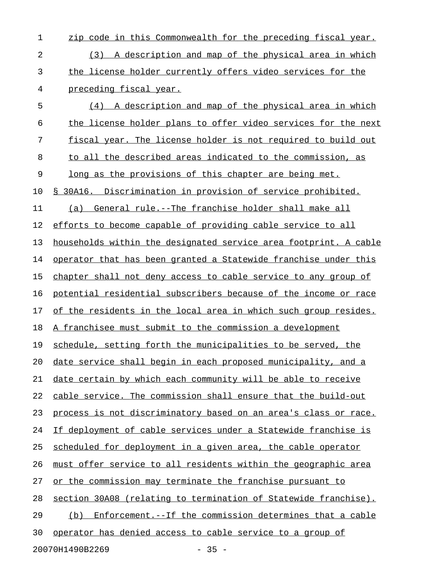1 zip code in this Commonwealth for the preceding fiscal year. 2 (3) A description and map of the physical area in which 3 the license holder currently offers video services for the 4 preceding fiscal year. 5 (4) A description and map of the physical area in which 6 the license holder plans to offer video services for the next 7 fiscal year. The license holder is not required to build out 8 to all the described areas indicated to the commission, as 9 long as the provisions of this chapter are being met. 10 § 30A16. Discrimination in provision of service prohibited. 11 (a) General rule.--The franchise holder shall make all 12 efforts to become capable of providing cable service to all 13 households within the designated service area footprint. A cable 14 operator that has been granted a Statewide franchise under this 15 chapter shall not deny access to cable service to any group of 16 potential residential subscribers because of the income or race 17 of the residents in the local area in which such group resides. 18 A franchisee must submit to the commission a development 19 schedule, setting forth the municipalities to be served, the 20 date service shall begin in each proposed municipality, and a 21 date certain by which each community will be able to receive 22 cable service. The commission shall ensure that the build-out 23 process is not discriminatory based on an area's class or race. 24 If deployment of cable services under a Statewide franchise is 25 scheduled for deployment in a given area, the cable operator 26 must offer service to all residents within the geographic area 27 or the commission may terminate the franchise pursuant to 28 section 30A08 (relating to termination of Statewide franchise). 29 (b) Enforcement.--If the commission determines that a cable 30 operator has denied access to cable service to a group of

20070H1490B2269 - 35 -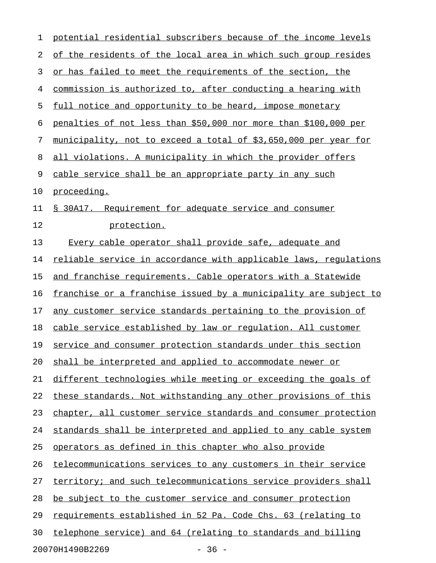| 1  | potential residential subscribers because of the income levels          |
|----|-------------------------------------------------------------------------|
| 2  | of the residents of the local area in which such group resides          |
| 3  | or has failed to meet the requirements of the section, the              |
| 4  | commission is authorized to, after conducting a hearing with            |
| 5  | full notice and opportunity to be heard, impose monetary                |
| 6  | penalties of not less than \$50,000 nor more than \$100,000 per         |
| 7  | municipality, not to exceed a total of \$3,650,000 per year for         |
| 8  | all violations. A municipality in which the provider offers             |
| 9  | cable service shall be an appropriate party in any such                 |
| 10 | proceeding.                                                             |
| 11 | § 30A17. Requirement for adequate service and consumer                  |
| 12 | protection.                                                             |
| 13 | Every cable operator shall provide safe, adequate and                   |
| 14 | reliable service in accordance with applicable laws, regulations        |
| 15 | and franchise requirements. Cable operators with a Statewide            |
| 16 | <u>franchise or a franchise issued by a municipality are subject to</u> |
| 17 | any customer service standards pertaining to the provision of           |
| 18 | cable service established by law or regulation. All customer            |
| 19 | service and consumer protection standards under this section            |
| 20 | shall be interpreted and applied to accommodate newer or                |
| 21 | different technologies while meeting or exceeding the goals of          |
| 22 | these standards. Not withstanding any other provisions of this          |
| 23 | chapter, all customer service standards and consumer protection         |
| 24 | standards shall be interpreted and applied to any cable system          |
| 25 | operators as defined in this chapter who also provide                   |
| 26 | telecommunications services to any customers in their service           |
| 27 | territory; and such telecommunications service providers shall          |
| 28 | be subject to the customer service and consumer protection              |
| 29 | requirements established in 52 Pa. Code Chs. 63 (relating to            |
| 30 | telephone service) and 64 (relating to standards and billing            |
|    | $-36 -$<br>20070H1490B2269                                              |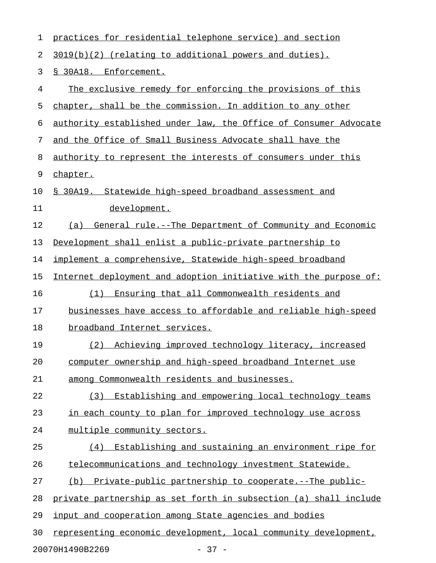| 1  | practices for residential telephone service) and section            |
|----|---------------------------------------------------------------------|
| 2  | $3019(b)(2)$ (relating to additional powers and duties).            |
| 3  | § 30A18. Enforcement.                                               |
| 4  | The exclusive remedy for enforcing the provisions of this           |
| 5  | chapter, shall be the commission. In addition to any other          |
| 6  | authority established under law, the Office of Consumer Advocate    |
| 7  | and the Office of Small Business Advocate shall have the            |
| 8  | authority to represent the interests of consumers under this        |
| 9  | chapter.                                                            |
| 10 | § 30A19. Statewide high-speed broadband assessment and              |
| 11 | development.                                                        |
| 12 | General rule.--The Department of Community and Economic<br>(a)      |
| 13 | Development shall enlist a public-private partnership to            |
| 14 | implement a comprehensive, Statewide high-speed broadband           |
| 15 | Internet deployment and adoption initiative with the purpose of:    |
| 16 | Ensuring that all Commonwealth residents and<br>(1)                 |
| 17 | businesses have access to affordable and reliable high-speed        |
| 18 | broadband Internet services.                                        |
| 19 | (2) Achieving improved technology literacy, increased               |
| 20 | computer ownership and high-speed broadband Internet use            |
| 21 | among Commonwealth residents and businesses.                        |
| 22 | Establishing and empowering local technology teams<br>(3)           |
| 23 | in each county to plan for improved technology use across           |
| 24 | multiple community sectors.                                         |
| 25 | Establishing and sustaining an environment ripe for<br>(4)          |
| 26 | telecommunications and technology investment Statewide.             |
| 27 | <u>Private-public partnership to cooperate.--The public-</u><br>(b) |
| 28 | private partnership as set forth in subsection (a) shall include    |
| 29 | input and cooperation among State agencies and bodies               |
| 30 | representing economic development, local community development,     |
|    | 20070H1490B2269<br>$-37 -$                                          |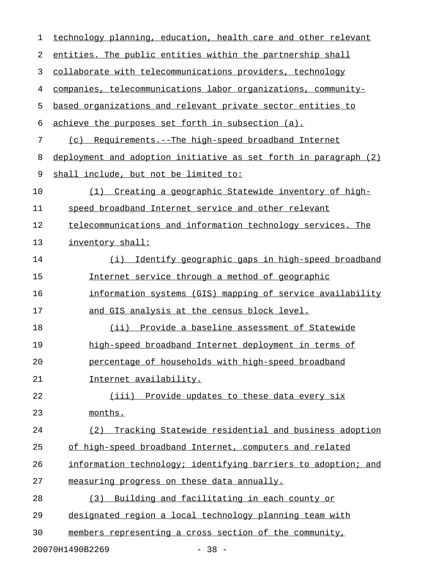| 1  | technology planning, education, health care and other relevant   |
|----|------------------------------------------------------------------|
| 2  | entities. The public entities within the partnership shall       |
| 3  | collaborate with telecommunications providers, technology        |
| 4  | companies, telecommunications labor organizations, community-    |
| 5  | based organizations and relevant private sector entities to      |
| 6  | achieve the purposes set forth in subsection (a).                |
| 7  | Requirements.--The high-speed broadband Internet<br>(c)          |
| 8  | deployment and adoption initiative as set forth in paragraph (2) |
| 9  | shall include, but not be limited to:                            |
| 10 | (1) Creating a geographic Statewide inventory of high-           |
| 11 | speed broadband Internet service and other relevant              |
| 12 | telecommunications and information technology services. The      |
| 13 | inventory shall:                                                 |
| 14 | Identify geographic gaps in high-speed broadband<br>(i)          |
| 15 | Internet service through a method of geographic                  |
| 16 | information systems (GIS) mapping of service availability        |
| 17 | and GIS analysis at the census block level.                      |
| 18 | (ii) Provide a baseline assessment of Statewide                  |
| 19 | high-speed broadband Internet deployment in terms of             |
| 20 | percentage of households with high-speed broadband               |
| 21 | Internet availability.                                           |
| 22 | (iii) Provide updates to these data every six                    |
| 23 | months.                                                          |
| 24 | Tracking Statewide residential and business adoption<br>(2)      |
| 25 | of high-speed broadband Internet, computers and related          |
| 26 | information technology; identifying barriers to adoption; and    |
| 27 | measuring progress on these data annually.                       |
| 28 | (3) Building and facilitating in each county or                  |
| 29 | designated region a local technology planning team with          |
| 30 | members representing a cross section of the community,           |
|    | 20070H1490B2269<br>$-38 -$                                       |